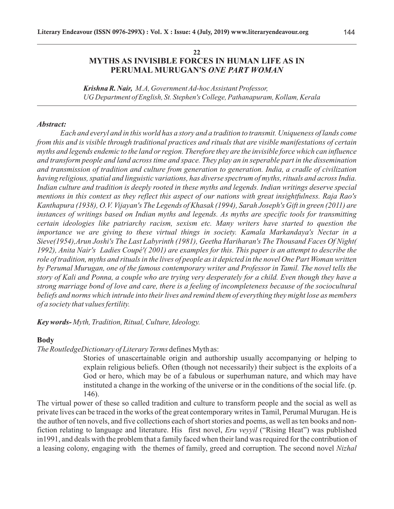### **22 MYTHS AS INVISIBLE FORCES IN HUMAN LIFE AS IN PERUMAL MURUGAN'S** *ONE PART WOMAN*

*Krishna R. Nair, M.A, Government Ad-hoc Assistant Professor, UG Department of English, St. Stephen's College, Pathanapuram, Kollam, Kerala*

#### *Abstract:*

*Each and everyl and in this world has a story and a tradition to transmit. Uniqueness of lands come from this and is visible through traditional practices and rituals that are visible manifestations of certain myths and legends endemic to the land or region. Therefore they are the invisible force which can influence and transform people and land across time and space. They play an in seperable part in the dissemination and transmission of tradition and culture from generation to generation. India, a cradle of civilization having religious, spatial and linguistic variations, has diverse spectrum of myths, rituals and across India. Indian culture and tradition is deeply rooted in these myths and legends. Indian writings deserve special mentions in this context as they reflect this aspect of our nations with great insightfulness. Raja Rao's Kanthapura (1938), O.V. Vijayan's The Legends of Khasak (1994), Sarah Joseph's Gift in green (2011) are instances of writings based on Indian myths and legends. As myths are specific tools for transmitting certain ideologies like patriarchy racism, sexism etc. Many writers have started to question the importance we are giving to these virtual things in society. Kamala Markandaya's Nectar in a Sieve(1954),Arun Joshi's The Last Labyrinth (1981), Geetha Hariharan's The Thousand Faces Of Night( 1992), Anita Nair's Ladies Coupé'( 2001) are examples for this. This paper is an attempt to describe the role of tradition, myths and rituals in the lives of people as it depicted in the novel One Part Woman written by Perumal Murugan, one of the famous contemporary writer and Professor in Tamil. The novel tells the story of Kali and Ponna, a couple who are trying very desperately for a child. Even though they have a strong marriage bond of love and care, there is a feeling of incompleteness because of the sociocultural beliefs and norms which intrude into their lives and remind them of everything they might lose as members of a society that values fertility.*

*Key words- Myth, Tradition, Ritual, Culture, Ideology.*

#### **Body**

*The RoutledgeDictionary of Literary Terms* defines Myth as:

Stories of unascertainable origin and authorship usually accompanying or helping to explain religious beliefs. Often (though not necessarily) their subject is the exploits of a God or hero, which may be of a fabulous or superhuman nature, and which may have instituted a change in the working of the universe or in the conditions of the social life. (p. 146).

The virtual power of these so called tradition and culture to transform people and the social as well as private lives can be traced in the works of the great contemporary writes in Tamil, Perumal Murugan. He is the author of ten novels, and five collections each of short stories and poems, as well as ten books and nonfiction relating to language and literature. His first novel, *Eru veyyil* ("Rising Heat") was published in1991, and deals with the problem that a family faced when their land was required for the contribution of a leasing colony, engaging with the themes of family, greed and corruption. The second novel *Nizhal*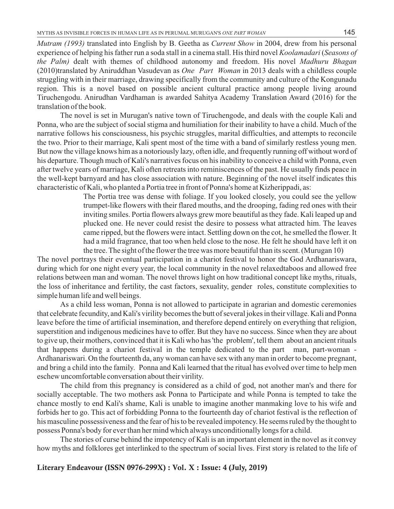*Mutram (1993)* translated into English by B. Geetha as *Current Show* in 2004, drew from his personal experience of helping his father run a soda stall in a cinema stall. His third novel *Koolamadari* (*Seasons of the Palm)* dealt with themes of childhood autonomy and freedom. His novel *Madhuru Bhagan*  (2010)translated by Aniruddhan Vasudevan as *One Part Woman* in 2013 deals with a childless couple struggling with in their marriage, drawing specifically from the community and culture of the Kongunadu region. This is a novel based on possible ancient cultural practice among people living around Tiruchengodu. Anirudhan Vardhaman is awarded Sahitya Academy Translation Award (2016) for the translation of the book.

The novel is set in Murugan's native town of Tiruchengode, and deals with the couple Kali and Ponna, who are the subject of social stigma and humiliation for their inability to have a child. Much of the narrative follows his consciousness, his psychic struggles, marital difficulties, and attempts to reconcile the two. Prior to their marriage, Kali spent most of the time with a band of similarly restless young men. But now the village knows him as a notoriously lazy, often idle, and frequently running off without word of his departure. Though much of Kali's narratives focus on his inability to conceive a child with Ponna, even after twelve years of marriage, Kali often retreats into reminiscences of the past. He usually finds peace in the well-kept barnyard and has close association with nature. Beginning of the novel itself indicates this characteristic of Kali, who planted a Portia tree in front of Ponna's home at Kizherippadi, as:

> The Portia tree was dense with foliage. If you looked closely, you could see the yellow trumpet-like flowers with their flared mouths, and the drooping, fading red ones with their inviting smiles. Portia flowers always grew more beautiful as they fade. Kali leaped up and plucked one. He never could resist the desire to possess what attracted him. The leaves came ripped, but the flowers were intact. Settling down on the cot, he smelled the flower. It had a mild fragrance, that too when held close to the nose. He felt he should have left it on the tree. The sight of the flower the tree was more beautiful than its scent. (Murugan 10)

The novel portrays their eventual participation in a chariot festival to honor the God Ardhanariswara, during which for one night every year, the local community in the novel relaxedtaboos and allowed free relations between man and woman. The novel throws light on how traditional concept like myths, rituals, the loss of inheritance and fertility, the cast factors, sexuality, gender roles, constitute complexities to simple human life and well beings.

As a child less woman, Ponna is not allowed to participate in agrarian and domestic ceremonies that celebrate fecundity, and Kali's virility becomes the butt of several jokes in their village. Kali and Ponna leave before the time of artificial insemination, and therefore depend entirely on everything that religion, superstition and indigenous medicines have to offer. But they have no success. Since when they are about to give up, their mothers, convinced that it is Kali who has 'the problem', tell them about an ancient rituals that happens during a chariot festival in the temple dedicated to the part man, part-woman - Ardhanariswari. On the fourteenth da, any woman can have sex with any man in order to become pregnant, and bring a child into the family. Ponna and Kali learned that the ritual has evolved over time to help men eschew uncomfortable conversation about their virility.

The child from this pregnancy is considered as a child of god, not another man's and there for socially acceptable. The two mothers ask Ponna to Participate and while Ponna is tempted to take the chance mostly to end Kali's shame, Kali is unable to imagine another manmaking love to his wife and forbids her to go. This act of forbidding Ponna to the fourteenth day of chariot festival is the reflection of his masculine possessiveness and the fear of his to be revealed impotency. He seems ruled by the thought to possess Ponna's body for ever than her mind which always unconditionally longs for a child.

The stories of curse behind the impotency of Kali is an important element in the novel as it convey how myths and folklores get interlinked to the spectrum of social lives. First story is related to the life of

### **Literary Endeavour (ISSN 0976-299X) : Vol. X : Issue: 4 (July, 2019)**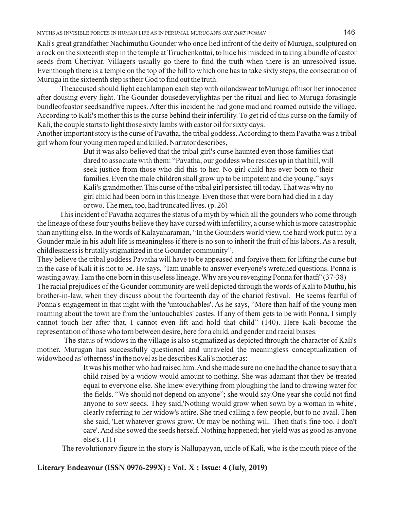Kali's great grandfather Nachimuthu Gounder who once lied infront of the deity of Muruga, sculptured on a rock on the sixteenth step in the temple at Tiruchenkottai, to hide his misdeed in taking a bundle of castor seeds from Chettiyar. Villagers usually go there to find the truth when there is an unresolved issue. Eventhough there is a temple on the top of the hill to which one has to take sixty steps, the consecration of Muruga in the sixteenth step is their God to find out the truth.

Theaccused should light eachlampon each step with oilandswear toMuruga ofhisor her innocence after dousing every light. The Gounder dousedeverylightas per the ritual and lied to Muruga forasingle bundleofcastor seedsandfive rupees. After this incident he had gone mad and roamed outside the village. According to Kali's mother this is the curse behind their infertility. To get rid of this curse on the family of Kali, the couple starts to light those sixty lambs with castor oil for sixty days.

Another important story is the curse of Pavatha, the tribal goddess. According to them Pavatha was a tribal girl whom four young men raped and killed. Narrator describes,

> But it was also believed that the tribal girl's curse haunted even those families that dared to associate with them: "Pavatha, our goddess who resides up in that hill, will seek justice from those who did this to her. No girl child has ever born to their families. Even the male children shall grow up to be impotent and die young." says Kali's grandmother. This curse of the tribal girl persisted till today. That was why no girl child had been born in this lineage. Even those that were born had died in a day or two. The men, too, had truncated lives. (p. 26)

This incident of Pavatha acquires the status of a myth by which all the gounders who come through the lineage of these four youths believe they have cursed with infertility, a curse which is more catastrophic than anything else. In the words of Kalayanaraman, "In the Gounders world view, the hard work put in by a Gounder male in his adult life is meaningless if there is no son to inherit the fruit of his labors. As a result, childlessness is brutally stigmatized in the Gounder community".

They believe the tribal goddess Pavatha will have to be appeased and forgive them for lifting the curse but in the case of Kali it is not to be. He says, "Iam unable to answer everyone's wretched questions. Ponna is wasting away. I am the one born in this useless lineage. Why are you revenging Ponna for thatfi' (37-38) The racial prejudices of the Gounder community are well depicted through the words of Kali to Muthu, his brother-in-law, when they discuss about the fourteenth day of the chariot festival. He seems fearful of

Ponna's engagement in that night with the 'untouchables'. As he says, "More than half of the young men roaming about the town are from the 'untouchables' castes. If any of them gets to be with Ponna, I simply cannot touch her after that, I cannot even lift and hold that child" (140). Here Kali become the representation of those who torn between desire, here for a child, and gender and racial biases.

The status of widows in the village is also stigmatized as depicted through the character of Kali's mother. Murugan has successfully questioned and unraveled the meaningless conceptualization of widowhood as 'otherness' in the novel as he describes Kali's mother as:

> It was his mother who had raised him. And she made sure no one had the chance to say that a child raised by a widow would amount to nothing. She was adamant that they be treated equal to everyone else. She knew everything from ploughing the land to drawing water for the fields. "We should not depend on anyone"; she would say.One year she could not find anyone to sow seeds. They said,'Nothing would grow when sown by a woman in white', clearly referring to her widow's attire. She tried calling a few people, but to no avail. Then she said, 'Let whatever grows grow. Or may be nothing will. Then that's fine too. I don't care'. And she sowed the seeds herself. Nothing happened; her yield was as good as anyone else's. (11)

The revolutionary figure in the story is Nallupayyan, uncle of Kali, who is the mouth piece of the

# **Literary Endeavour (ISSN 0976-299X) : Vol. X : Issue: 4 (July, 2019)**